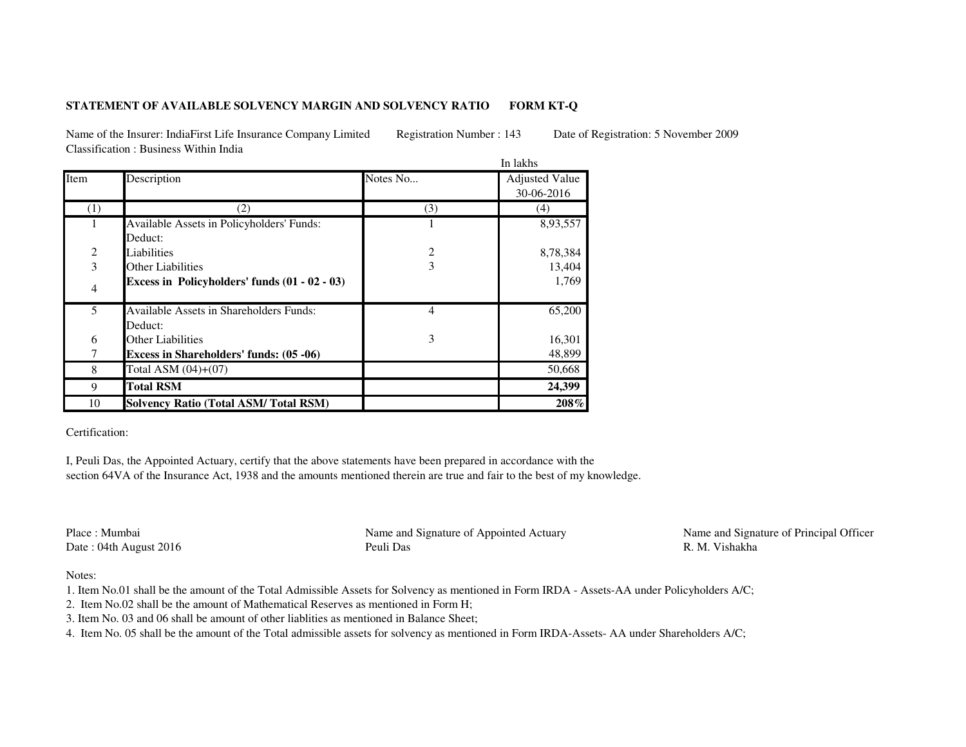## **STATEMENT OF AVAILABLE SOLVENCY MARGIN AND SOLVENCY RATIOFORM KT-Q**

Name of the Insurer: IndiaFirst Life Insurance Company Limited Registration Number : 143 Date of Registration: 5 November 2009Classification : Business Within India

|                |                                                           | In lakhs |                                     |
|----------------|-----------------------------------------------------------|----------|-------------------------------------|
| Item           | Description                                               | Notes No | <b>Adjusted Value</b><br>30-06-2016 |
| (1)            | (2)                                                       | (3)      | (4)                                 |
| 1              | Available Assets in Policyholders' Funds:<br>Deduct:      |          | 8,93,557                            |
|                | Liabilities                                               | 2        | 8,78,384                            |
| $\frac{2}{3}$  | <b>Other Liabilities</b>                                  | 3        | 13,404                              |
| $\overline{4}$ | Excess in Policyholders' funds (01 - 02 - 03)             |          | 1,769                               |
| 5              | <b>Available Assets in Shareholders Funds:</b><br>Deduct: | 4        | 65,200                              |
| 6              | Other Liabilities                                         | 3        | 16,301                              |
| 7              | Excess in Shareholders' funds: (05 -06)                   |          | 48,899                              |
| 8              | Total ASM $(04)+(07)$                                     |          | 50,668                              |
| 9              | <b>Total RSM</b>                                          |          | 24,399                              |
| 10             | <b>Solvency Ratio (Total ASM/Total RSM)</b>               |          | 208%                                |

Certification:

I, Peuli Das, the Appointed Actuary, certify that the above statements have been prepared in accordance with the section 64VA of the Insurance Act, 1938 and the amounts mentioned therein are true and fair to the best of my knowledge.

Place : MumbaiDate : 04th August 2016 Peuli Das

Name and Signature of Appointed Actuary Name and Signature of Principal Officer R. M. Vishakha

Notes:

- 1. Item No.01 shall be the amount of the Total Admissible Assets for Solvency as mentioned in Form IRDA Assets-AA under Policyholders A/C;
- 2. Item No.02 shall be the amount of Mathematical Reserves as mentioned in Form H;
- 3. Item No. 03 and 06 shall be amount of other liablities as mentioned in Balance Sheet;
- 4. Item No. 05 shall be the amount of the Total admissible assets for solvency as mentioned in Form IRDA-Assets- AA under Shareholders A/C;